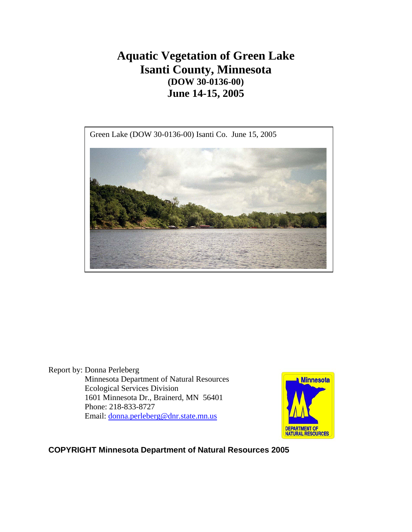# **Aquatic Vegetation of Green Lake Isanti County, Minnesota (DOW 30-0136-00) June 14-15, 2005**





Report by: Donna Perleberg Minnesota Department of Natural Resources Ecological Services Division 1601 Minnesota Dr., Brainerd, MN 56401 Phone: 218-833-8727 Email: [donna.perleberg@dnr.state.mn.us](mailto:donna.perleberg@dnr.state.mn.us)



## **COPYRIGHT Minnesota Department of Natural Resources 2005**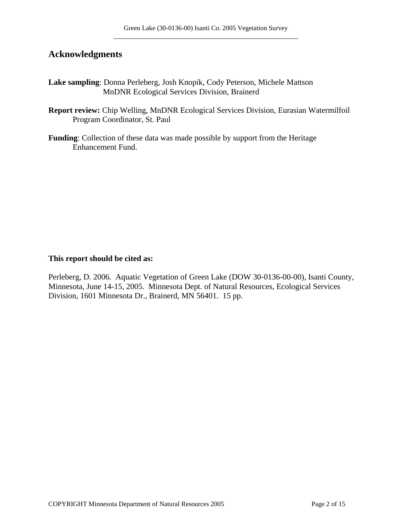# **Acknowledgments**

- **Lake sampling**: Donna Perleberg, Josh Knopik, Cody Peterson, Michele Mattson MnDNR Ecological Services Division, Brainerd
- **Report review:** Chip Welling, MnDNR Ecological Services Division, Eurasian Watermilfoil Program Coordinator, St. Paul
- **Funding**: Collection of these data was made possible by support from the Heritage Enhancement Fund.

#### **This report should be cited as:**

Perleberg, D. 2006. Aquatic Vegetation of Green Lake (DOW 30-0136-00-00), Isanti County, Minnesota, June 14-15, 2005. Minnesota Dept. of Natural Resources, Ecological Services Division, 1601 Minnesota Dr., Brainerd, MN 56401. 15 pp.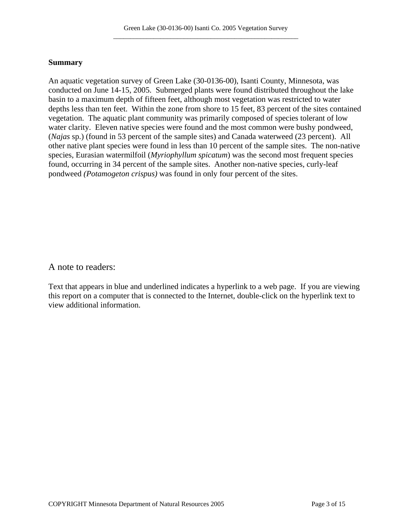#### **Summary**

An aquatic vegetation survey of Green Lake (30-0136-00), Isanti County, Minnesota, was conducted on June 14-15, 2005. Submerged plants were found distributed throughout the lake basin to a maximum depth of fifteen feet, although most vegetation was restricted to water depths less than ten feet. Within the zone from shore to 15 feet, 83 percent of the sites contained vegetation. The aquatic plant community was primarily composed of species tolerant of low water clarity. Eleven native species were found and the most common were bushy pondweed, (*Najas* sp.) (found in 53 percent of the sample sites) and Canada waterweed (23 percent). All other native plant species were found in less than 10 percent of the sample sites. The non-native species, Eurasian watermilfoil (*Myriophyllum spicatum*) was the second most frequent species found, occurring in 34 percent of the sample sites. Another non-native species, curly-leaf pondweed *(Potamogeton crispus)* was found in only four percent of the sites.

A note to readers:

Text that appears in blue and underlined indicates a hyperlink to a web page. If you are viewing this report on a computer that is connected to the Internet, double-click on the hyperlink text to view additional information.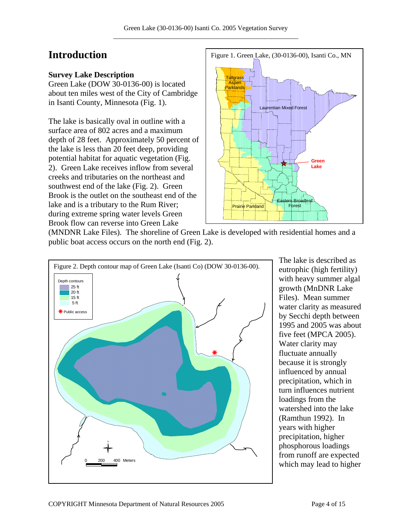# **Introduction**

### **Survey Lake Description**

Green Lake (DOW 30-0136-00) is located about ten miles west of the City of Cambridge in Isanti County, Minnesota (Fig. 1).

The lake is basically oval in outline with a surface area of 802 acres and a maximum depth of 28 feet. Approximately 50 percent of the lake is less than 20 feet deep, providing potential habitat for aquatic vegetation (Fig. 2). Green Lake receives inflow from several creeks and tributaries on the northeast and southwest end of the lake (Fig. 2). Green Brook is the outlet on the southeast end of the lake and is a tributary to the Rum River; during extreme spring water levels Green Brook flow can reverse into Green Lake



(MNDNR Lake Files). The shoreline of Green Lake is developed with residential homes and a public boat access occurs on the north end (Fig. 2).



The lake is described as eutrophic (high fertility) with heavy summer algal growth (MnDNR Lake Files). Mean summer water clarity as measured by Secchi depth between 1995 and 2005 was about five feet (MPCA 2005). Water clarity may fluctuate annually because it is strongly influenced by annual precipitation, which in turn influences nutrient loadings from the watershed into the lake (Ramthun 1992). In years with higher precipitation, higher phosphorous loadings from runoff are expected which may lead to higher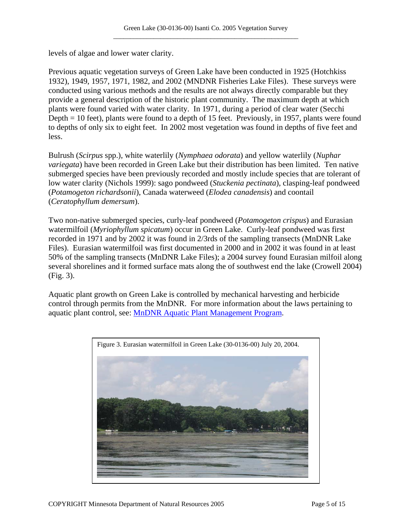levels of algae and lower water clarity.

Previous aquatic vegetation surveys of Green Lake have been conducted in 1925 (Hotchkiss 1932), 1949, 1957, 1971, 1982, and 2002 (MNDNR Fisheries Lake Files). These surveys were conducted using various methods and the results are not always directly comparable but they provide a general description of the historic plant community. The maximum depth at which plants were found varied with water clarity. In 1971, during a period of clear water (Secchi Depth = 10 feet), plants were found to a depth of 15 feet. Previously, in 1957, plants were found to depths of only six to eight feet. In 2002 most vegetation was found in depths of five feet and less.

Bulrush (*Scirpus* spp.), white waterlily (*Nymphaea odorata*) and yellow waterlily (*Nuphar variegata*) have been recorded in Green Lake but their distribution has been limited. Ten native submerged species have been previously recorded and mostly include species that are tolerant of low water clarity (Nichols 1999): sago pondweed (*Stuckenia pectinata*), clasping-leaf pondweed (*Potamogeton richardsonii*), Canada waterweed (*Elodea canadensis*) and coontail (*Ceratophyllum demersum*).

Two non-native submerged species, curly-leaf pondweed (*Potamogeton crispus*) and Eurasian watermilfoil (*Myriophyllum spicatum*) occur in Green Lake. Curly-leaf pondweed was first recorded in 1971 and by 2002 it was found in 2/3rds of the sampling transects (MnDNR Lake Files). Eurasian watermilfoil was first documented in 2000 and in 2002 it was found in at least 50% of the sampling transects (MnDNR Lake Files); a 2004 survey found Eurasian milfoil along several shorelines and it formed surface mats along the of southwest end the lake (Crowell 2004) (Fig. 3).

Aquatic plant growth on Green Lake is controlled by mechanical harvesting and herbicide control through permits from the MnDNR. For more information about the laws pertaining to aquatic plant control, see: [MnDNR Aquatic Plant Management Program.](http://www.dnr.state.mn.us/shorelandmgmt/apg/regulations.html)

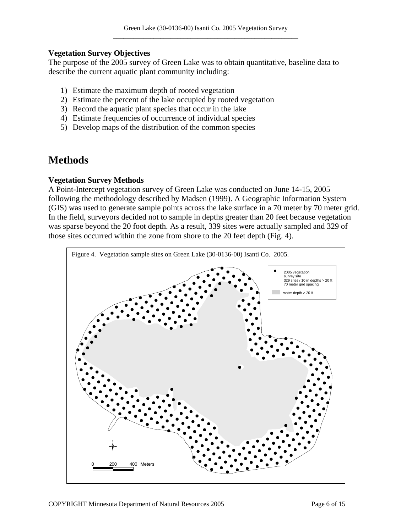#### **Vegetation Survey Objectives**

The purpose of the 2005 survey of Green Lake was to obtain quantitative, baseline data to describe the current aquatic plant community including:

- 1) Estimate the maximum depth of rooted vegetation
- 2) Estimate the percent of the lake occupied by rooted vegetation
- 3) Record the aquatic plant species that occur in the lake
- 4) Estimate frequencies of occurrence of individual species
- 5) Develop maps of the distribution of the common species

# **Methods**

#### **Vegetation Survey Methods**

A Point-Intercept vegetation survey of Green Lake was conducted on June 14-15, 2005 following the methodology described by Madsen (1999). A Geographic Information System (GIS) was used to generate sample points across the lake surface in a 70 meter by 70 meter grid. In the field, surveyors decided not to sample in depths greater than 20 feet because vegetation was sparse beyond the 20 foot depth. As a result, 339 sites were actually sampled and 329 of those sites occurred within the zone from shore to the 20 feet depth (Fig. 4).

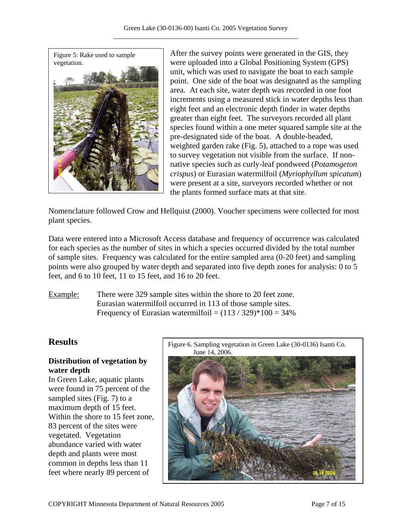

After the survey points were generated in the GIS, they were uploaded into a Global Positioning System (GPS) unit, which was used to navigate the boat to each sample point. One side of the boat was designated as the sampling area. At each site, water depth was recorded in one foot increments using a measured stick in water depths less than eight feet and an electronic depth finder in water depths greater than eight feet. The surveyors recorded all plant species found within a one meter squared sample site at the pre-designated side of the boat. A double-headed, weighted garden rake (Fig. 5), attached to a rope was used to survey vegetation not visible from the surface. If nonnative species such as curly-leaf pondweed (*Potamogeton crispus*) or Eurasian watermilfoil (*Myriophyllum spicatum*) were present at a site, surveyors recorded whether or not the plants formed surface mats at that site.

Nomenclature followed Crow and Hellquist (2000). Voucher specimens were collected for most plant species.

Data were entered into a Microsoft Access database and frequency of occurrence was calculated for each species as the number of sites in which a species occurred divided by the total number of sample sites. Frequency was calculated for the entire sampled area (0-20 feet) and sampling points were also grouped by water depth and separated into five depth zones for analysis: 0 to 5 feet, and 6 to 10 feet, 11 to 15 feet, and 16 to 20 feet.

Example: There were 329 sample sites within the shore to 20 feet zone. Eurasian watermilfoil occurred in 113 of those sample sites. Frequency of Eurasian watermilfoil =  $(113 / 329)$  \*  $100 = 34\%$ 

# **Distribution of vegetation by water depth**

In Green Lake, aquatic plants were found in 75 percent of the sampled sites (Fig. 7) to a maximum depth of 15 feet. Within the shore to 15 feet zone, 83 percent of the sites were vegetated. Vegetation abundance varied with water depth and plants were most common in depths less than 11 feet where nearly 89 percent of

**Results** Figure 6. Sampling vegetation in Green Lake (30-0136) Isanti Co. June 14, 2006.

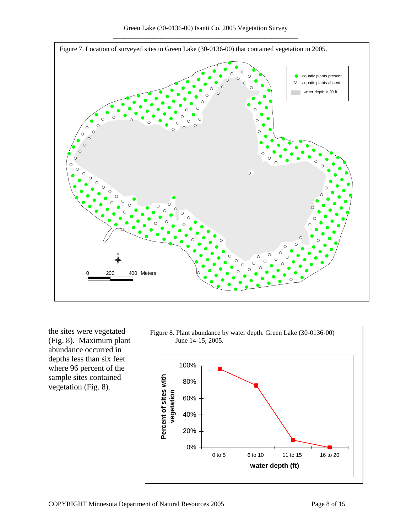

the sites were vegetated (Fig. 8). Maximum plant abundance occurred in depths less than six feet where 96 percent of the sample sites contained vegetation (Fig. 8).

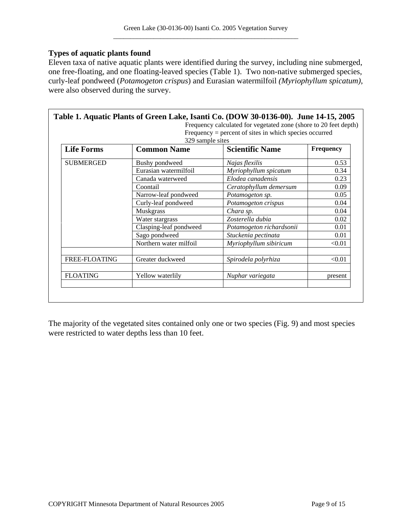#### **Types of aquatic plants found**

Eleven taxa of native aquatic plants were identified during the survey, including nine submerged, one free-floating, and one floating-leaved species (Table 1). Two non-native submerged species, curly-leaf pondweed (*Potamogeton crispus*) and Eurasian watermilfoil *(Myriophyllum spicatum)*, were also observed during the survey.

| $Frequency = percent of sites in which species occurred$<br>329 sample sites |                        |                          |                  |
|------------------------------------------------------------------------------|------------------------|--------------------------|------------------|
| <b>Life Forms</b>                                                            | <b>Common Name</b>     | <b>Scientific Name</b>   | <b>Frequency</b> |
| <b>SUBMERGED</b>                                                             | Bushy pondweed         | Najas flexilis           | 0.53             |
|                                                                              | Eurasian watermilfoil  | Myriophyllum spicatum    | 0.34             |
|                                                                              | Canada waterweed       | Elodea canadensis        | 0.23             |
|                                                                              | Coontail               | Ceratophyllum demersum   | 0.09             |
|                                                                              | Narrow-leaf pondweed   | Potamogeton sp.          | 0.05             |
|                                                                              | Curly-leaf pondweed    | Potamogeton crispus      | 0.04             |
|                                                                              | <b>Muskgrass</b>       | Chara sp.                | 0.04             |
|                                                                              | Water stargrass        | Zosterella dubia         | 0.02             |
|                                                                              | Clasping-leaf pondweed | Potamogeton richardsonii | 0.01             |
|                                                                              | Sago pondweed          | Stuckenia pectinata      | 0.01             |
|                                                                              | Northern water milfoil | Myriophyllum sibiricum   | < 0.01           |
| FREE-FLOATING                                                                | Greater duckweed       | Spirodela polyrhiza      | < 0.01           |
| <b>FLOATING</b>                                                              | Yellow waterlily       | Nuphar variegata         | present          |

The majority of the vegetated sites contained only one or two species (Fig. 9) and most species were restricted to water depths less than 10 feet.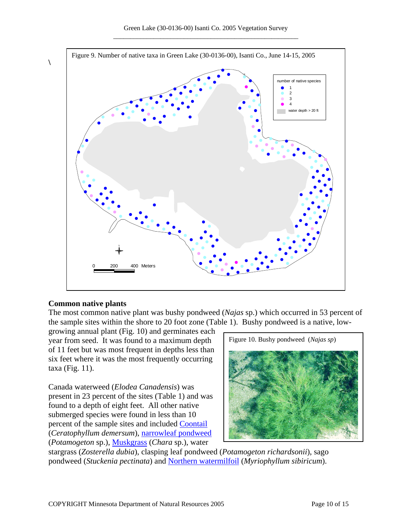

#### **Common native plants**

**\** 

The most common native plant was bushy pondweed (*Najas* sp.) which occurred in 53 percent of the sample sites within the shore to 20 foot zone (Table 1). Bushy pondweed is a native, low-

growing annual plant (Fig. 10) and germinates each year from seed. It was found to a maximum depth of 11 feet but was most frequent in depths less than six feet where it was the most frequently occurring taxa (Fig. 11).

Canada waterweed (*Elodea Canadensis*) was present in 23 percent of the sites (Table 1) and was found to a depth of eight feet. All other native submerged species were found in less than 10 percent of the sample sites and included **[Coontail](http://www.dnr.state.mn.us/aquatic_plants/submerged_plants/coontail.html)** (*Ceratophyllum demersum*), [narrowleaf pondweed](http://www.dnr.state.mn.us/aquatic_plants/submerged_plants/narrowleaf_pondweeds.html) (*Potamogeton* sp.), [Muskgrass](http://www.dnr.state.mn.us/aquatic_plants/algae/chara.html) (*Chara* sp.), water



stargrass (*Zosterella dubia*), clasping leaf pondweed (*Potamogeton richardsonii*), sago pondweed (*Stuckenia pectinata*) and [Northern watermilfoil](http://www.dnr.state.mn.us/aquatic_plants/submerged_plants/northern_watermilfoil.html) (*Myriophyllum sibiricum*).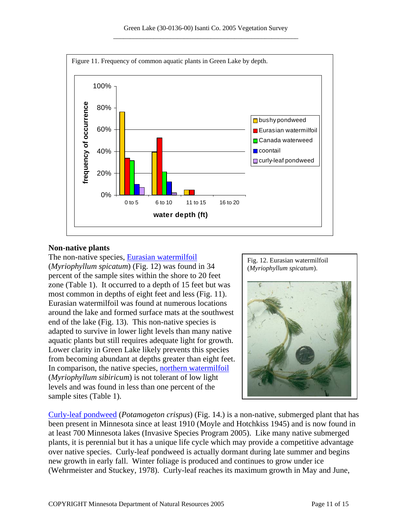

#### **Non-native plants**

The non-native species, [Eurasian watermilfoil](http://www.dnr.state.mn.us/invasives/aquaticplants/milfoil/index.html) (*Myriophyllum spicatum*) (Fig. 12) was found in 34 percent of the sample sites within the shore to 20 feet zone (Table 1). It occurred to a depth of 15 feet but was most common in depths of eight feet and less (Fig. 11). Eurasian watermilfoil was found at numerous locations around the lake and formed surface mats at the southwest end of the lake (Fig. 13). This non-native species is adapted to survive in lower light levels than many native aquatic plants but still requires adequate light for growth. Lower clarity in Green Lake likely prevents this species from becoming abundant at depths greater than eight feet. In comparison, the native species, [northern watermilfoil](http://www.dnr.state.mn.us/aquatic_plants/submerged_plants/northern_watermilfoil.html) (*Myriophyllum sibiricum*) is not tolerant of low light levels and was found in less than one percent of the sample sites (Table 1).



[Curly-leaf pondweed](http://www.dnr.state.mn.us/aquatic_plants/submerged_plants/curlyleaf_pondweed.html) (*Potamogeton crispus*) (Fig. 14.) is a non-native, submerged plant that has been present in Minnesota since at least 1910 (Moyle and Hotchkiss 1945) and is now found in at least 700 Minnesota lakes (Invasive Species Program 2005). Like many native submerged plants, it is perennial but it has a unique life cycle which may provide a competitive advantage over native species. Curly-leaf pondweed is actually dormant during late summer and begins new growth in early fall. Winter foliage is produced and continues to grow under ice (Wehrmeister and Stuckey, 1978). Curly-leaf reaches its maximum growth in May and June,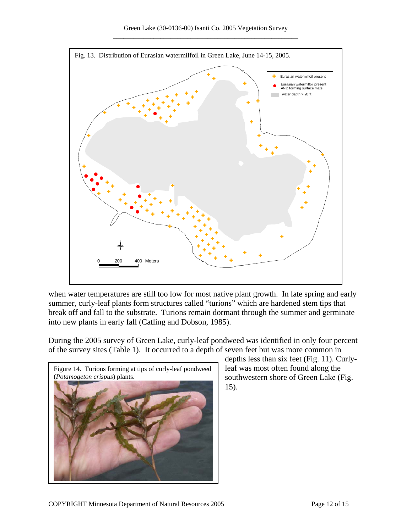

when water temperatures are still too low for most native plant growth. In late spring and early summer, curly-leaf plants form structures called "turions" which are hardened stem tips that break off and fall to the substrate. Turions remain dormant through the summer and germinate into new plants in early fall (Catling and Dobson, 1985).

During the 2005 survey of Green Lake, curly-leaf pondweed was identified in only four percent of the survey sites (Table 1). It occurred to a depth of seven feet but was more common in



depths less than six feet (Fig. 11). Curlyleaf was most often found along the southwestern shore of Green Lake (Fig. 15).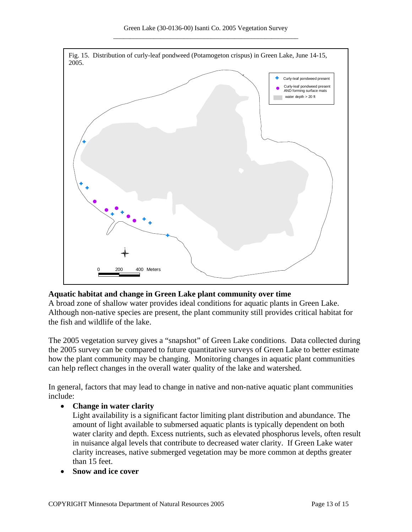

### **Aquatic habitat and change in Green Lake plant community over time**

A broad zone of shallow water provides ideal conditions for aquatic plants in Green Lake. Although non-native species are present, the plant community still provides critical habitat for the fish and wildlife of the lake.

The 2005 vegetation survey gives a "snapshot" of Green Lake conditions. Data collected during the 2005 survey can be compared to future quantitative surveys of Green Lake to better estimate how the plant community may be changing. Monitoring changes in aquatic plant communities can help reflect changes in the overall water quality of the lake and watershed.

In general, factors that may lead to change in native and non-native aquatic plant communities include:

### • **Change in water clarity**

Light availability is a significant factor limiting plant distribution and abundance. The amount of light available to submersed aquatic plants is typically dependent on both water clarity and depth. Excess nutrients, such as elevated phosphorus levels, often result in nuisance algal levels that contribute to decreased water clarity. If Green Lake water clarity increases, native submerged vegetation may be more common at depths greater than 15 feet.

• **Snow and ice cover**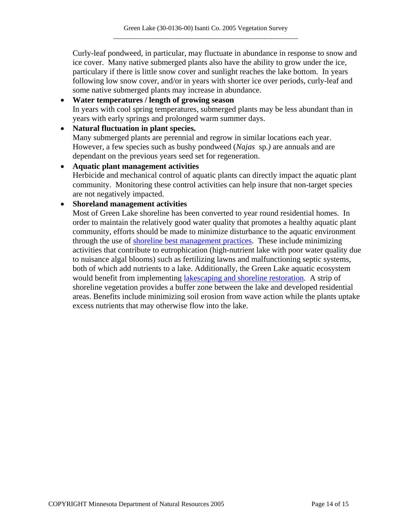Curly-leaf pondweed, in particular, may fluctuate in abundance in response to snow and ice cover. Many native submerged plants also have the ability to grow under the ice, particulary if there is little snow cover and sunlight reaches the lake bottom. In years following low snow cover, and/or in years with shorter ice over periods, curly-leaf and some native submerged plants may increase in abundance.

## • **Water temperatures / length of growing season**  In years with cool spring temperatures, submerged plants may be less abundant than in years with early springs and prolonged warm summer days.

#### • **Natural fluctuation in plant species.**

Many submerged plants are perennial and regrow in similar locations each year. However, a few species such as bushy pondweed (*Najas* sp*.)* are annuals and are dependant on the previous years seed set for regeneration.

# • **Aquatic plant management activities**  Herbicide and mechanical control of aquatic plants can directly impact the aquatic plant community. Monitoring these control activities can help insure that non-target species are not negatively impacted.

# • **Shoreland management activities**

Most of Green Lake shoreline has been converted to year round residential homes. In order to maintain the relatively good water quality that promotes a healthy aquatic plant community, efforts should be made to minimize disturbance to the aquatic environment through the use of [shoreline best management practices](http://www.dnr.state.mn.us/shorelandmgmt/guide/waterquality.html). These include minimizing activities that contribute to eutrophication (high-nutrient lake with poor water quality due to nuisance algal blooms) such as fertilizing lawns and malfunctioning septic systems, both of which add nutrients to a lake. Additionally, the Green Lake aquatic ecosystem would benefit from implementing [lakescaping and shoreline restoration.](http://www.dnr.state.mn.us/restoreyourshore/index.html) A strip of shoreline vegetation provides a buffer zone between the lake and developed residential areas. Benefits include minimizing soil erosion from wave action while the plants uptake excess nutrients that may otherwise flow into the lake.